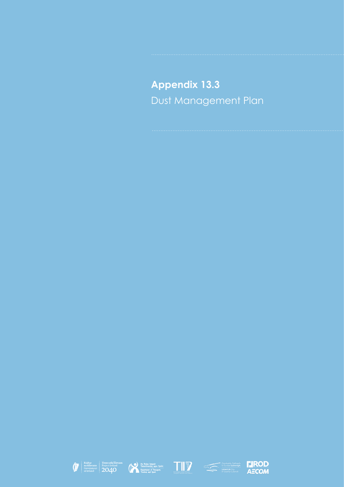**Appendix 13.3** Dust Management Plan









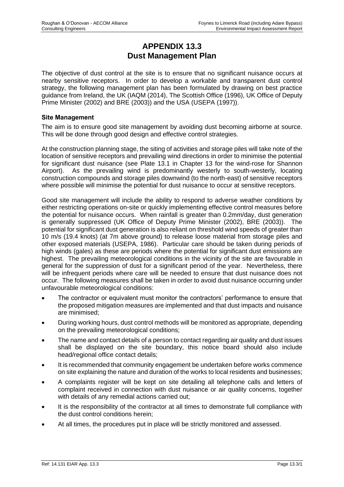# **APPENDIX 13.3 Dust Management Plan**

The objective of dust control at the site is to ensure that no significant nuisance occurs at nearby sensitive receptors. In order to develop a workable and transparent dust control strategy, the following management plan has been formulated by drawing on best practice guidance from Ireland, the UK (IAQM (2014), The Scottish Office (1996), UK Office of Deputy Prime Minister (2002) and BRE (2003)) and the USA (USEPA (1997)).

### **Site Management**

The aim is to ensure good site management by avoiding dust becoming airborne at source. This will be done through good design and effective control strategies.

At the construction planning stage, the siting of activities and storage piles will take note of the location of sensitive receptors and prevailing wind directions in order to minimise the potential for significant dust nuisance (see Plate 13.1 in Chapter 13 for the wind-rose for Shannon Airport). As the prevailing wind is predominantly westerly to south-westerly, locating construction compounds and storage piles downwind (to the north-east) of sensitive receptors where possible will minimise the potential for dust nuisance to occur at sensitive receptors.

Good site management will include the ability to respond to adverse weather conditions by either restricting operations on-site or quickly implementing effective control measures before the potential for nuisance occurs. When rainfall is greater than 0.2mm/day, dust generation is generally suppressed (UK Office of Deputy Prime Minister (2002), BRE (2003)). The potential for significant dust generation is also reliant on threshold wind speeds of greater than 10 m/s (19.4 knots) (at 7m above ground) to release loose material from storage piles and other exposed materials (USEPA, 1986). Particular care should be taken during periods of high winds (gales) as these are periods where the potential for significant dust emissions are highest. The prevailing meteorological conditions in the vicinity of the site are favourable in general for the suppression of dust for a significant period of the year. Nevertheless, there will be infrequent periods where care will be needed to ensure that dust nuisance does not occur. The following measures shall be taken in order to avoid dust nuisance occurring under unfavourable meteorological conditions:

- The contractor or equivalent must monitor the contractors' performance to ensure that the proposed mitigation measures are implemented and that dust impacts and nuisance are minimised;
- During working hours, dust control methods will be monitored as appropriate, depending on the prevailing meteorological conditions;
- The name and contact details of a person to contact regarding air quality and dust issues shall be displayed on the site boundary, this notice board should also include head/regional office contact details;
- It is recommended that community engagement be undertaken before works commence on site explaining the nature and duration of the works to local residents and businesses;
- A complaints register will be kept on site detailing all telephone calls and letters of complaint received in connection with dust nuisance or air quality concerns, together with details of any remedial actions carried out;
- It is the responsibility of the contractor at all times to demonstrate full compliance with the dust control conditions herein;
- At all times, the procedures put in place will be strictly monitored and assessed.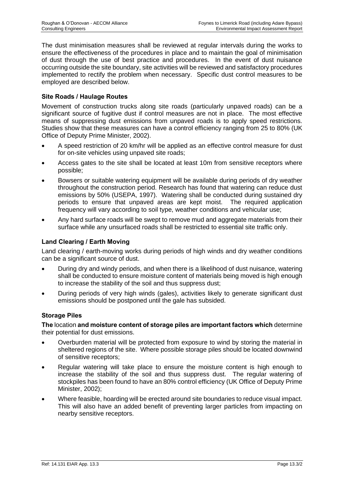The dust minimisation measures shall be reviewed at regular intervals during the works to ensure the effectiveness of the procedures in place and to maintain the goal of minimisation of dust through the use of best practice and procedures. In the event of dust nuisance occurring outside the site boundary, site activities will be reviewed and satisfactory procedures implemented to rectify the problem when necessary. Specific dust control measures to be employed are described below.

# **Site Roads / Haulage Routes**

Movement of construction trucks along site roads (particularly unpaved roads) can be a significant source of fugitive dust if control measures are not in place. The most effective means of suppressing dust emissions from unpaved roads is to apply speed restrictions. Studies show that these measures can have a control efficiency ranging from 25 to 80% (UK Office of Deputy Prime Minister, 2002).

- A speed restriction of 20 km/hr will be applied as an effective control measure for dust for on-site vehicles using unpaved site roads;
- Access gates to the site shall be located at least 10m from sensitive receptors where possible;
- Bowsers or suitable watering equipment will be available during periods of dry weather throughout the construction period. Research has found that watering can reduce dust emissions by 50% (USEPA, 1997). Watering shall be conducted during sustained dry periods to ensure that unpaved areas are kept moist. The required application frequency will vary according to soil type, weather conditions and vehicular use;
- Any hard surface roads will be swept to remove mud and aggregate materials from their surface while any unsurfaced roads shall be restricted to essential site traffic only.

## **Land Clearing / Earth Moving**

Land clearing / earth-moving works during periods of high winds and dry weather conditions can be a significant source of dust.

- During dry and windy periods, and when there is a likelihood of dust nuisance, watering shall be conducted to ensure moisture content of materials being moved is high enough to increase the stability of the soil and thus suppress dust;
- During periods of very high winds (gales), activities likely to generate significant dust emissions should be postponed until the gale has subsided.

### **Storage Piles**

**The** location **and moisture content of storage piles are important factors which** determine their potential for dust emissions.

- Overburden material will be protected from exposure to wind by storing the material in sheltered regions of the site. Where possible storage piles should be located downwind of sensitive receptors;
- Regular watering will take place to ensure the moisture content is high enough to increase the stability of the soil and thus suppress dust. The regular watering of stockpiles has been found to have an 80% control efficiency (UK Office of Deputy Prime Minister, 2002);
- Where feasible, hoarding will be erected around site boundaries to reduce visual impact. This will also have an added benefit of preventing larger particles from impacting on nearby sensitive receptors.